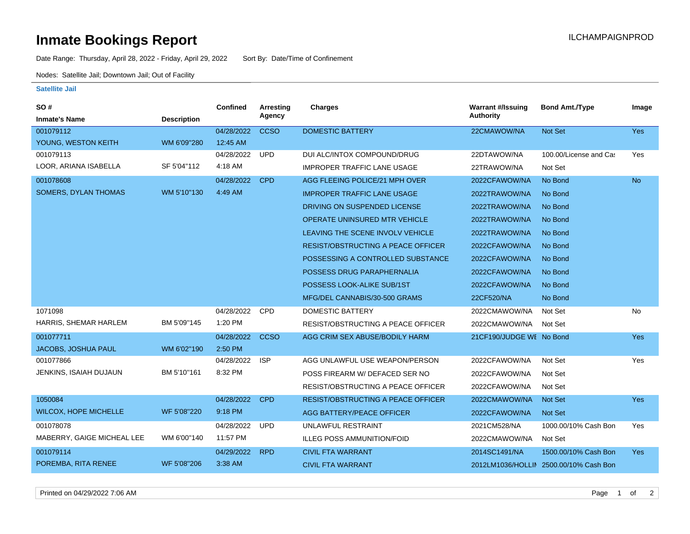## **Inmate Bookings Report Installation ILCHAMPAIGNPROD**

Date Range: Thursday, April 28, 2022 - Friday, April 29, 2022 Sort By: Date/Time of Confinement

Nodes: Satellite Jail; Downtown Jail; Out of Facility

## **Satellite Jail**

| SO#                          |                    | Confined   | Arresting   | Charges                                   | <b>Warrant #/Issuing</b> | <b>Bond Amt./Type</b>                  | Image      |
|------------------------------|--------------------|------------|-------------|-------------------------------------------|--------------------------|----------------------------------------|------------|
| <b>Inmate's Name</b>         | <b>Description</b> |            | Agency      |                                           | <b>Authority</b>         |                                        |            |
| 001079112                    |                    | 04/28/2022 | <b>CCSO</b> | <b>DOMESTIC BATTERY</b>                   | 22CMAWOW/NA              | <b>Not Set</b>                         | Yes        |
| YOUNG, WESTON KEITH          | WM 6'09"280        | 12:45 AM   |             |                                           |                          |                                        |            |
| 001079113                    |                    | 04/28/2022 | <b>UPD</b>  | DUI ALC/INTOX COMPOUND/DRUG               | 22DTAWOW/NA              | 100.00/License and Cas                 | Yes        |
| LOOR, ARIANA ISABELLA        | SF 5'04"112        | 4:18 AM    |             | <b>IMPROPER TRAFFIC LANE USAGE</b>        | 22TRAWOW/NA              | Not Set                                |            |
| 001078608                    |                    | 04/28/2022 | <b>CPD</b>  | AGG FLEEING POLICE/21 MPH OVER            | 2022CFAWOW/NA            | No Bond                                | <b>No</b>  |
| <b>SOMERS, DYLAN THOMAS</b>  | WM 5'10"130        | 4:49 AM    |             | <b>IMPROPER TRAFFIC LANE USAGE</b>        | 2022TRAWOW/NA            | No Bond                                |            |
|                              |                    |            |             | DRIVING ON SUSPENDED LICENSE              | 2022TRAWOW/NA            | No Bond                                |            |
|                              |                    |            |             | OPERATE UNINSURED MTR VEHICLE             | 2022TRAWOW/NA            | No Bond                                |            |
|                              |                    |            |             | LEAVING THE SCENE INVOLV VEHICLE          | 2022TRAWOW/NA            | No Bond                                |            |
|                              |                    |            |             | RESIST/OBSTRUCTING A PEACE OFFICER        | 2022CFAWOW/NA            | No Bond                                |            |
|                              |                    |            |             | POSSESSING A CONTROLLED SUBSTANCE         | 2022CFAWOW/NA            | No Bond                                |            |
|                              |                    |            |             | POSSESS DRUG PARAPHERNALIA                | 2022CFAWOW/NA            | No Bond                                |            |
|                              |                    |            |             | POSSESS LOOK-ALIKE SUB/1ST                | 2022CFAWOW/NA            | No Bond                                |            |
|                              |                    |            |             | MFG/DEL CANNABIS/30-500 GRAMS             | 22CF520/NA               | No Bond                                |            |
| 1071098                      |                    | 04/28/2022 | CPD         | <b>DOMESTIC BATTERY</b>                   | 2022CMAWOW/NA            | Not Set                                | No         |
| HARRIS, SHEMAR HARLEM        | BM 5'09"145        | 1:20 PM    |             | RESIST/OBSTRUCTING A PEACE OFFICER        | 2022CMAWOW/NA            | Not Set                                |            |
| 001077711                    |                    | 04/28/2022 | <b>CCSO</b> | AGG CRIM SEX ABUSE/BODILY HARM            | 21CF190/JUDGE WE No Bond |                                        | <b>Yes</b> |
| JACOBS, JOSHUA PAUL          | WM 6'02"190        | 2:50 PM    |             |                                           |                          |                                        |            |
| 001077866                    |                    | 04/28/2022 | <b>ISP</b>  | AGG UNLAWFUL USE WEAPON/PERSON            | 2022CFAWOW/NA            | Not Set                                | Yes        |
| JENKINS, ISAIAH DUJAUN       | BM 5'10"161        | 8:32 PM    |             | POSS FIREARM W/ DEFACED SER NO            | 2022CFAWOW/NA            | Not Set                                |            |
|                              |                    |            |             | RESIST/OBSTRUCTING A PEACE OFFICER        | 2022CFAWOW/NA            | Not Set                                |            |
| 1050084                      |                    | 04/28/2022 | <b>CPD</b>  | <b>RESIST/OBSTRUCTING A PEACE OFFICER</b> | 2022CMAWOW/NA            | <b>Not Set</b>                         | <b>Yes</b> |
| <b>WILCOX, HOPE MICHELLE</b> | WF 5'08"220        | 9:18 PM    |             | AGG BATTERY/PEACE OFFICER                 | 2022CFAWOW/NA            | Not Set                                |            |
| 001078078                    |                    | 04/28/2022 | <b>UPD</b>  | UNLAWFUL RESTRAINT                        | 2021CM528/NA             | 1000.00/10% Cash Bon                   | Yes        |
| MABERRY, GAIGE MICHEAL LEE   | WM 6'00"140        | 11:57 PM   |             | <b>ILLEG POSS AMMUNITION/FOID</b>         | 2022CMAWOW/NA            | Not Set                                |            |
| 001079114                    |                    | 04/29/2022 | <b>RPD</b>  | <b>CIVIL FTA WARRANT</b>                  | 2014SC1491/NA            | 1500.00/10% Cash Bon                   | <b>Yes</b> |
| POREMBA, RITA RENEE          | WF 5'08"206        | 3:38 AM    |             | <b>CIVIL FTA WARRANT</b>                  |                          | 2012LM1036/HOLLIN 2500.00/10% Cash Bon |            |